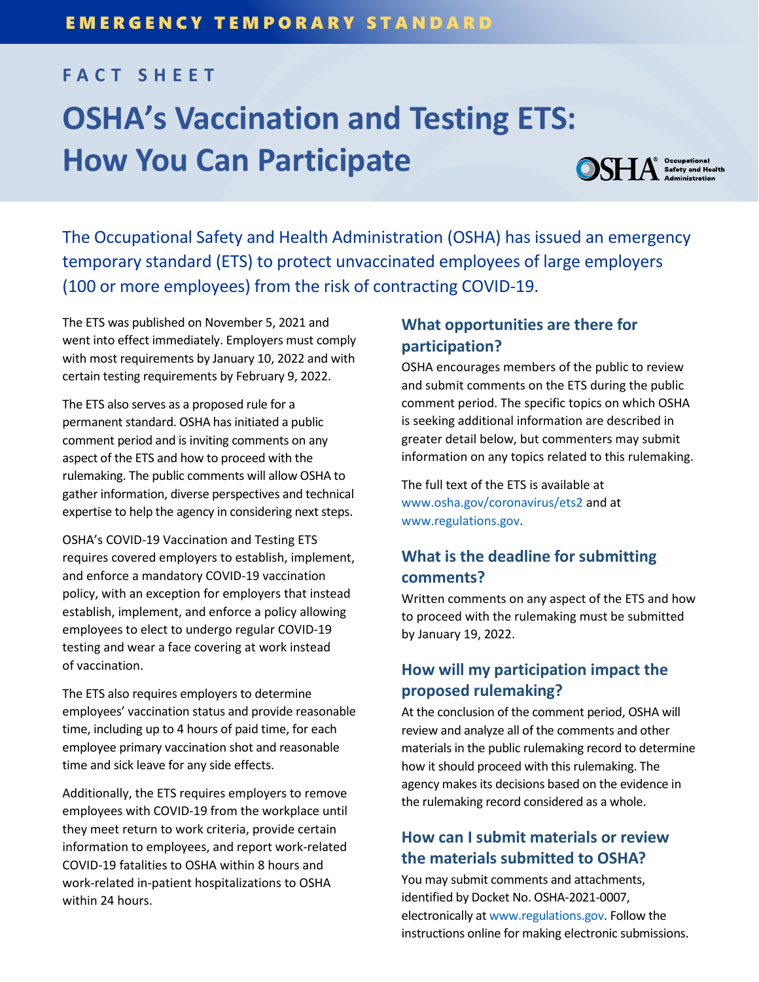# **FACT SHEET**

# **OSHA's Vaccination and Testing ETS: How You Can Participate**

**OSHA** Safety and Health

The Occupational Safety and Health Administration (OSHA) has issued an emergency temporary standard (ETS) to protect unvaccinated employees of large employers (100 or more employees) from the risk of contracting COVID-19.

The ETS was published on November 5, 2021 and went into effect immediately. Employers must comply with most requirements by January 10, 2022 and with certain testing requirements by February 9, 2022.

The ETS also serves as a proposed rule for a permanent standard. OSHA has initiated a public comment period and is inviting comments on any aspect of the ETS and how to proceed with the rulemaking. The public comments will allow OSHA to gather information, diverse perspectives and technical expertise to help the agency in considering next steps.

OSHA's COVID-19 Vaccination and Testing ETS requires covered employers to establish, implement, and enforce a mandatory COVID-19 vaccination policy, with an exception for employers that instead establish, implement, and enforce a policy allowing employees to elect to undergo regular COVID-19 testing and wear a face covering at work instead of vaccination.

The ETS also requires employers to determine employees' vaccination status and provide reasonable time, including up to 4 hours of paid time, for each employee primary vaccination shot and reasonable time and sick leave for any side effects.

Additionally, the ETS requires employers to remove employees with COVID-19 from the workplace until they meet return to work criteria, provide certain information to employees, and report work-related COVID-19 fatalities to OSHA within 8 hours and work-related in-patient hospitalizations to OSHA within 24 hours.

#### **What opportunities are there for participation?**

OSHA encourages members of the public to review and submit comments on the ETS during the public comment period. The specific topics on which OSHA is seeking additional information are described in greater detail below, but commenters may submit information on any topics related to this rulemaking.

The full text of the ETS is available at www.osha.gov/coronavirus/ets2 and at www.regulations.gov.

# **What is the deadline for submitting comments?**

Written comments on any aspect of the ETS and how to proceed with the rulemaking must be submitted by January 19, 2022.

## **How will my participation impact the proposed rulemaking?**

At the conclusion of the comment period, OSHA will review and analyze all of the comments and other materials in the public rulemaking record to determine how it should proceed with this rulemaking. The agency makes its decisions based on the evidence in the rulemaking record considered as a whole.

### **How can I submit materials or review the materials submitted to OSHA?**

You may submit comments and attachments, identified by Docket No. OSHA-2021-0007, electronically at www.regulations.gov. Follow the instructions online for making electronic submissions.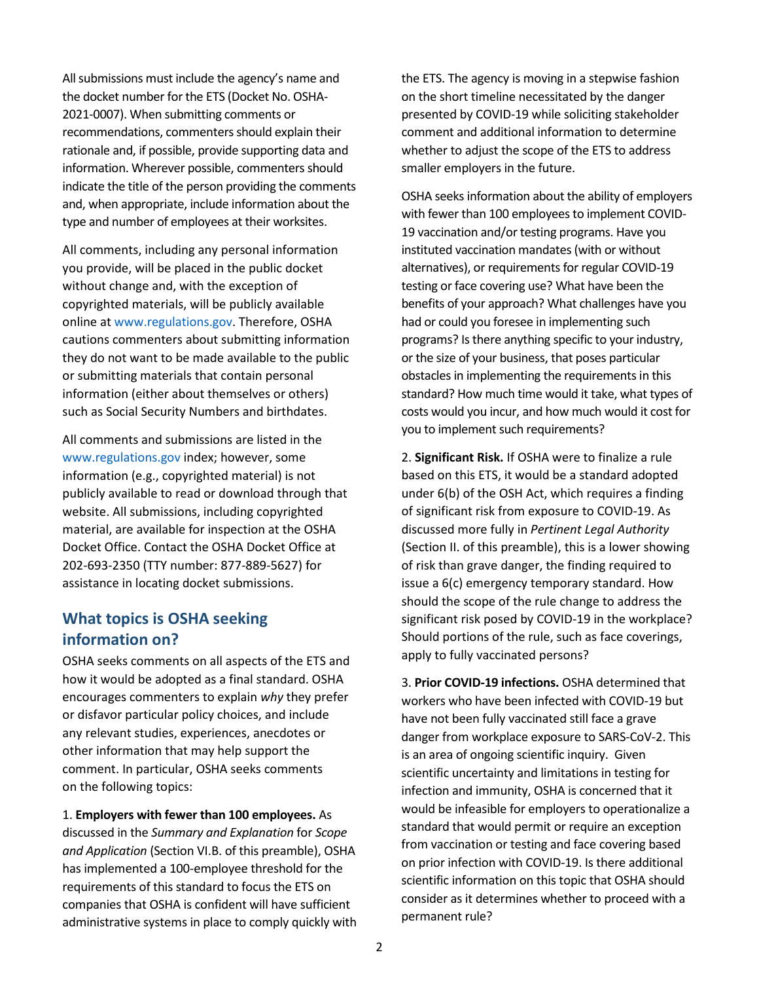All submissions must include the agency's name and the docket number for the ETS (Docket No. OSHA-2021-0007). When submitting comments or recommendations, commenters should explain their rationale and, if possible, provide supporting data and information. Wherever possible, commenters should indicate the title of the person providing the comments and, when appropriate, include information about the type and number of employees at their worksites.

All comments, including any personal information you provide, will be placed in the public docket without change and, with the exception of copyrighted materials, will be publicly available online at www.regulations.gov. Therefore, OSHA cautions commenters about submitting information they do not want to be made available to the public or submitting materials that contain personal information (either about themselves or others) such as Social Security Numbers and birthdates.

All comments and submissions are listed in the www.regulations.gov index; however, some information (e.g., copyrighted material) is not publicly available to read or download through that website. All submissions, including copyrighted material, are available for inspection at the OSHA Docket Office. Contact the OSHA Docket Office at 202-693-2350 (TTY number: 877-889-5627) for assistance in locating docket submissions.

#### **What topics is OSHA seeking information on?**

OSHA seeks comments on all aspects of the ETS and how it would be adopted as a final standard. OSHA encourages commenters to explain *why* they prefer or disfavor particular policy choices, and include any relevant studies, experiences, anecdotes or other information that may help support the comment. In particular, OSHA seeks comments on the following topics:

1. **Employers with fewer than 100 employees.** As discussed in the *Summary and Explanation* for *Scope and Application* (Section VI.B. of this preamble), OSHA has implemented a 100-employee threshold for the requirements of this standard to focus the ETS on companies that OSHA is confident will have sufficient administrative systems in place to comply quickly with

the ETS. The agency is moving in a stepwise fashion on the short timeline necessitated by the danger presented by COVID-19 while soliciting stakeholder comment and additional information to determine whether to adjust the scope of the ETS to address smaller employers in the future.

OSHA seeks information about the ability of employers with fewer than 100 employees to implement COVID-19 vaccination and/or testing programs. Have you instituted vaccination mandates (with or without alternatives), or requirements for regular COVID-19 testing or face covering use? What have been the benefits of your approach? What challenges have you had or could you foresee in implementing such programs? Is there anything specific to your industry, or the size of your business, that poses particular obstacles in implementing the requirements in this standard? How much time would it take, what types of costs would you incur, and how much would it cost for you to implement such requirements?

2. **Significant Risk.** If OSHA were to finalize a rule based on this ETS, it would be a standard adopted under 6(b) of the OSH Act, which requires a finding of significant risk from exposure to COVID-19. As discussed more fully in *Pertinent Legal Authority* (Section II. of this preamble), this is a lower showing of risk than grave danger, the finding required to issue a 6(c) emergency temporary standard. How should the scope of the rule change to address the significant risk posed by COVID-19 in the workplace? Should portions of the rule, such as face coverings, apply to fully vaccinated persons?

3. **Prior COVID-19 infections.** OSHA determined that workers who have been infected with COVID-19 but have not been fully vaccinated still face a grave danger from workplace exposure to SARS-CoV-2. This is an area of ongoing scientific inquiry. Given scientific uncertainty and limitations in testing for infection and immunity, OSHA is concerned that it would be infeasible for employers to operationalize a standard that would permit or require an exception from vaccination or testing and face covering based on prior infection with COVID-19. Is there additional scientific information on this topic that OSHA should consider as it determines whether to proceed with a permanent rule?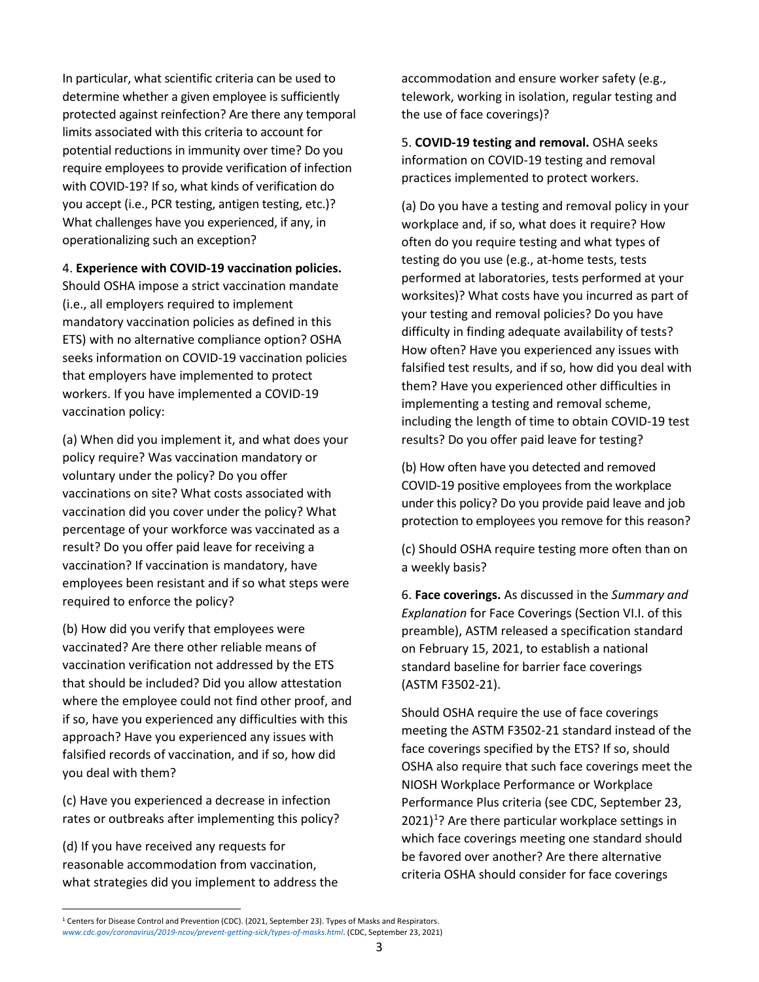In particular, what scientific criteria can be used to determine whether a given employee is sufficiently protected against reinfection? Are there any temporal limits associated with this criteria to account for potential reductions in immunity over time? Do you require employees to provide verification of infection with COVID-19? If so, what kinds of verification do you accept (i.e., PCR testing, antigen testing, etc.)? What challenges have you experienced, if any, in operationalizing such an exception?

#### 4. **Experience with COVID-19 vaccination policies.**

Should OSHA impose a strict vaccination mandate (i.e., all employers required to implement mandatory vaccination policies as defined in this ETS) with no alternative compliance option? OSHA seeks information on COVID-19 vaccination policies that employers have implemented to protect workers. If you have implemented a COVID-19 vaccination policy:

(a) When did you implement it, and what does your policy require? Was vaccination mandatory or voluntary under the policy? Do you offer vaccinations on site? What costs associated with vaccination did you cover under the policy? What percentage of your workforce was vaccinated as a result? Do you offer paid leave for receiving a vaccination? If vaccination is mandatory, have employees been resistant and if so what steps were required to enforce the policy?

(b) How did you verify that employees were vaccinated? Are there other reliable means of vaccination verification not addressed by the ETS that should be included? Did you allow attestation where the employee could not find other proof, and if so, have you experienced any difficulties with this approach? Have you experienced any issues with falsified records of vaccination, and if so, how did you deal with them?

(c) Have you experienced a decrease in infection rates or outbreaks after implementing this policy?

(d) If you have received any requests for reasonable accommodation from vaccination, what strategies did you implement to address the accommodation and ensure worker safety (e.g., telework, working in isolation, regular testing and the use of face coverings)?

5. **COVID-19 testing and removal.** OSHA seeks information on COVID-19 testing and removal practices implemented to protect workers.

(a) Do you have a testing and removal policy in your workplace and, if so, what does it require? How often do you require testing and what types of testing do you use (e.g., at-home tests, tests performed at laboratories, tests performed at your worksites)? What costs have you incurred as part of your testing and removal policies? Do you have difficulty in finding adequate availability of tests? How often? Have you experienced any issues with falsified test results, and if so, how did you deal with them? Have you experienced other difficulties in implementing a testing and removal scheme, including the length of time to obtain COVID-19 test results? Do you offer paid leave for testing?

(b) How often have you detected and removed COVID-19 positive employees from the workplace under this policy? Do you provide paid leave and job protection to employees you remove for this reason?

(c) Should OSHA require testing more often than on a weekly basis?

6. **Face coverings.** As discussed in the *Summary and Explanation* for Face Coverings (Section VI.I. of this preamble), ASTM released a specification standard on February 15, 2021, to establish a national standard baseline for barrier face coverings (ASTM F3502-21).

Should OSHA require the use of face coverings meeting the ASTM F3502-21 standard instead of the face coverings specified by the ETS? If so, should OSHA also require that such face coverings meet the NIOSH Workplace Performance or Workplace Performance Plus criteria (see CDC, September 23,  $2021$ <sup>1</sup>? Are there particular workplace settings in which face coverings meeting one standard should be favored over another? Are there alternative criteria OSHA should consider for face coverings

 <sup>1</sup> Centers for Disease Control and Prevention (CDC). (2021, September 23). Types of Masks and Respirators. *www.cdc.gov/coronavirus/2019-ncov/prevent-getting-sick/types-of-masks.html*. (CDC, September 23, 2021)